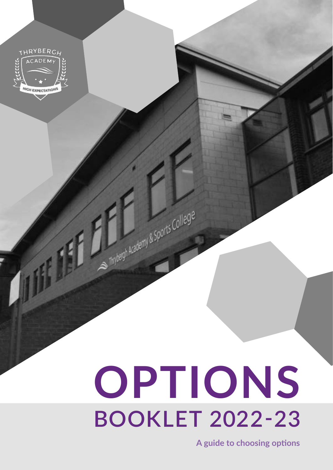

# **BOOKLET 2022-23 OPTIONS**

Thrybergh Academy & Sports College

**A guide to choosing options**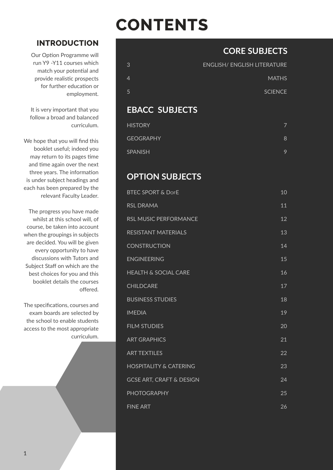# **CONTENTS**

# **INTRODUCTION**

Our Option Programme will run Y9 -Y11 courses which match your potential and provide realistic prospects for further education or employment.

It is very important that you follow a broad and balanced curriculum.

We hope that you will find this booklet useful; indeed you may return to its pages time and time again over the next three years. The information is under subject headings and each has been prepared by the relevant Faculty Leader.

The progress you have made whilst at this school will, of course, be taken into account when the groupings in subjects are decided. You will be given every opportunity to have discussions with Tutors and Subject Staff on which are the best choices for you and this booklet details the courses offered.

The specifications, courses and exam boards are selected by the school to enable students access to the most appropriate curriculum.

# **CORE SUBJECTS**

| <b>ENGLISH/ ENGLISH LITERATURE</b> |
|------------------------------------|
| <b>MATHS</b>                       |
| <b>SCIENCE</b>                     |
|                                    |

# **EBACC SUBJECTS**

| <b>HISTORY</b>   |   |
|------------------|---|
| <b>GEOGRAPHY</b> | 8 |
| <b>SPANISH</b>   | 9 |

# **OPTION SUBJECTS**

| <b>BTEC SPORT &amp; DOFE</b>        | 10 |
|-------------------------------------|----|
| <b>RSL DRAMA</b>                    | 11 |
| <b>RSL MUSIC PERFORMANCE</b>        | 12 |
| <b>RESISTANT MATERIALS</b>          | 13 |
| <b>CONSTRUCTION</b>                 | 14 |
| <b>ENGINEERING</b>                  | 15 |
| <b>HEALTH &amp; SOCIAL CARE</b>     | 16 |
| <b>CHILDCARE</b>                    | 17 |
| <b>BUSINESS STUDIES</b>             | 18 |
| <b>IMEDIA</b>                       | 19 |
| <b>FILM STUDIES</b>                 | 20 |
| <b>ART GRAPHICS</b>                 | 21 |
| <b>ART TEXTILES</b>                 | 22 |
| <b>HOSPITALITY &amp; CATERING</b>   | 23 |
| <b>GCSE ART, CRAFT &amp; DESIGN</b> | 24 |
| <b>PHOTOGRAPHY</b>                  | 25 |
| <b>FINE ART</b>                     | 26 |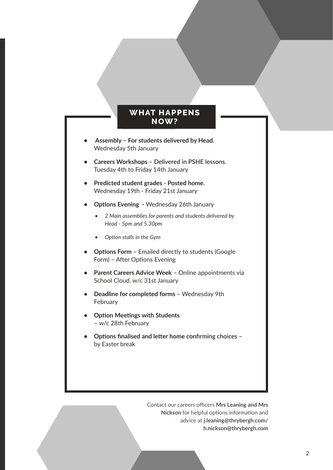# **WHAT HAPPENS NOW?**

- <span id="page-2-0"></span>**• Assembly – For students delivered by Head.**  Wednesday 5th January
- **• Careers Workshops Delivered in PSHE lessons.**  Tuesday 4th to Friday 14th January
- **• Predicted student grades Posted home.**  Wednesday 19th - Friday 21st January
- **• Options Evening** Wednesday 26th January
	- *• 2 Main assemblies for parents and students delivered by Head - 5pm and 5.30pm*
	- *• Option stalls in the Gym*
- **• Options Form** Emailed directly to students (Google Form) – After Options Evening
- **• Parent Careers Advice Week –** Online appointments via School Cloud. w/c 31st January
- **• Deadline for completed forms** Wednesday 9th **February**
- **• Option Meetings with Students –** w/c 28th February
- **• Options finalised and letter home confirming choices**  by Easter break

Contact our careers officers **Mrs Leaning and Mrs Nickson** for helpful options information and advice at **j.leaning@thrybergh.com/ h.nickson@thrybergh.com**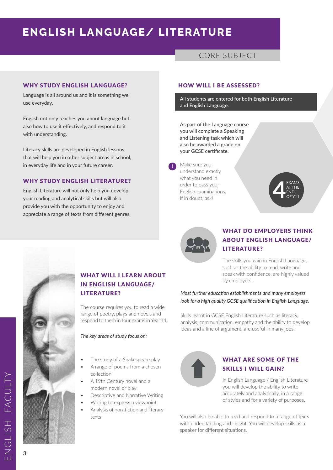# **ENGLISH LANGUAGE/ LITERATURE**

# CORE SUBJECT

## WHY STUDY FNGLISH LANGUAGE?

Language is all around us and it is something we use everyday.

English not only teaches you about language but also how to use it effectively, and respond to it with understanding.

Literacy skills are developed in English lessons that will help you in other subject areas in school, in everyday life and in your future career.

# WHY STUDY ENGLISH LITERATURE?

English Literature will not only help you develop your reading and analytical skills but will also provide you with the opportunity to enjoy and appreciate a range of texts from different genres.

#### HOW WILL I BE ASSESSED?

**All students are entered for both English Literature and English Language.**

**As part of the Language course you will complete a Speaking and Listening task which will also be awarded a grade on your GCSE certificate.**

Make sure you understand exactly what you need in order to pass your English examinations. If in doubt, ask!

**!**





# WHAT DO EMPLOYERS THINK ABOUT ENGLISH LANGUAGE/ LITERATURE?

The skills you gain in English Language, such as the ability to read, write and speak with confidence, are highly valued by employers.

# *Most further education establishments and many employers look for a high quality GCSE qualification in English Language.*

Skills learnt in GCSE English Literature such as literacy, analysis, communication, empathy and the ability to develop ideas and a line of argument, are useful in many jobs.



# WHAT ARE SOME OF THE SKILLS I WILL GAIN?

In English Language / English Literature you will develop the ability to write accurately and analytically, in a range of styles and for a variety of purposes.

You will also be able to read and respond to a range of texts with understanding and insight. You will develop skills as a speaker for different situations.



# WHAT WILL I LEARN ABOUT IN ENGLISH LANGUAGE/ LITERATURE?

The course requires you to read a wide range of poetry, plays and novels and respond to them in four exams in Year 11.

#### *The key areas of study focus on:*

- The study of a Shakespeare play
- A range of poems from a chosen collection
- A 19th Century novel and a modern novel or play
- Descriptive and Narrative Writing
- Writing to express a viewpoint
- Analysis of non-fiction and literary texts

ENGLISH FACULTY

ENGLISH

FACUL<sup>-</sup>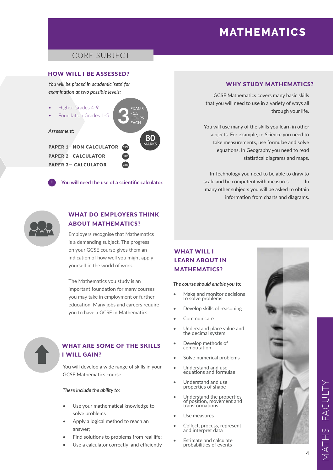# **MATHEMATICS**

# CORE SUBJECT

### HOW WILL I BE ASSESSED?

*You will be placed in academic 'sets' for examination at two possible levels:*

- Higher Grades 4-9
- Foundation Grades 1-5

*Assessment:*

PAPER 1—NON CALCULATOR PAPER 2—CALCULATOR PAPER 3— CALCULATOR

**! You will need the use of a scientific calculator.**

**2**

**80**

EXAMS - 1.5 **HOURS** EACH

MARKS **33%**

**3**

**33% 33%**



# WHAT DO EMPLOYERS THINK ABOUT MATHEMATICS?

Employers recognise that Mathematics is a demanding subject. The progress on your GCSE course gives them an indication of how well you might apply yourself in the world of work.

The Mathematics you study is an important foundation for many courses you may take in employment or further education. Many jobs and careers require you to have a GCSE in Mathematics.



# WHAT ARE SOME OF THE SKILLS I WILL GAIN?

You will develop a wide range of skills in your GCSE Mathematics course.

#### *These include the ability to:*

- Use your mathematical knowledge to solve problems
- Apply a logical method to reach an answer;
- Find solutions to problems from real life;
- Use a calculator correctly and efficiently

### WHY STUDY MATHEMATICS?

GCSE Mathematics covers many basic skills that you will need to use in a variety of ways all through your life.

You will use many of the skills you learn in other subjects. For example, in Science you need to take measurements, use formulae and solve equations. In Geography you need to read statistical diagrams and maps.

In Technology you need to be able to draw to scale and be competent with measures. In many other subjects you will be asked to obtain information from charts and diagrams.

# WHAT WILL I LEARN ABOUT IN MATHEMATICS?

#### *The course should enable you to:*

- Make and monitor decisions to solve problems
- Develop skills of reasoning
- **Communicate**
- Understand place value and the decimal system
- Develop methods of computation
- Solve numerical problems
- Understand and use equations and formulae
- Understand and use properties of shape
- Understand the properties of position, movement and transformations
- Use measures
- Collect, process, represent and interpret data
- Estimate and calculate probabilities of events

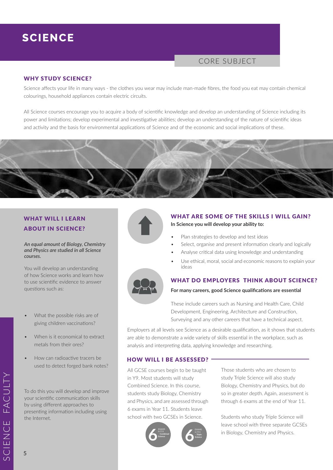# **SCIENCE**

# CORE SUBJECT

### WHY STUDY SCIENCE?

Science affects your life in many ways - the clothes you wear may include man-made fibres, the food you eat may contain chemical colourings, household appliances contain electric circuits.

All Science courses encourage you to acquire a body of scientific knowledge and develop an understanding of Science including its power and limitations; develop experimental and investigative abilities; develop an understanding of the nature of scientific ideas and activity and the basis for environmental applications of Science and of the economic and social implications of these.



# WHAT WILL I LEARN ABOUT IN SCIENCE?

#### *An equal amount of Biology, Chemistry and Physics are studied in all Science courses.*

You will develop an understanding of how Science works and learn how to use scientific evidence to answer questions such as:

- What the possible risks are of giving children vaccinations?
- When is it economical to extract metals from their ores?
- How can radioactive tracers be used to detect forged bank notes?

To do this you will develop and improve your scientific communication skills by using different approaches to presenting information including using the Internet.



### WHAT ARE SOME OF THE SKILLS I WILL GAIN?

**In Science you will develop your ability to:** 

- Plan strategies to develop and test ideas
- Select, organise and present information clearly and logically
- Analyse critical data using knowledge and understanding
- Use ethical, moral, social and economic reasons to explain your ideas



# WHAT DO EMPLOYERS THINK ABOUT SCIENCE?

#### **For many careers, good Science qualifications are essential**

These include careers such as Nursing and Health Care, Child Development, Engineering, Architecture and Construction, Surveying and any other careers that have a technical aspect.

Employers at all levels see Science as a desirable qualification, as it shows that students are able to demonstrate a wide variety of skills essential in the workplace, such as analysis and interpreting data, applying knowledge and researching.

#### HOW WILL I BE ASSESSED?

All GCSE courses begin to be taught in Y9. Most students will study Combined Science. In this course, students study Biology, Chemistry and Physics, and are assessed through 6 exams in Year 11. Students leave school with two GCSEs in Science.



Those students who are chosen to study Triple Science will also study Biology, Chemistry and Physics, but do so in greater depth. Again, assessment is through 6 exams at the end of Year 11.

Students who study Triple Science will leave school with three separate GCSEs in Biology, Chemistry and Physics.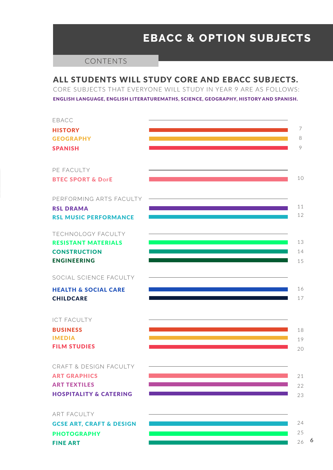# **EBACC & OPTION SUBJECTS**

# CONTENTS

# ALL STUDENTS WILL STUDY CORE AND EBACC SUBJECTS.

CORE SUBJECTS THAT EVERYONE WILL STUDY IN YEAR 9 ARE AS FOLLOWS: ENGLISH LANGUAGE, ENGLISH LITERATUREMATHS, SCIENCE, GEOGRAPHY, HISTORY AND SPANISH.



FINE ART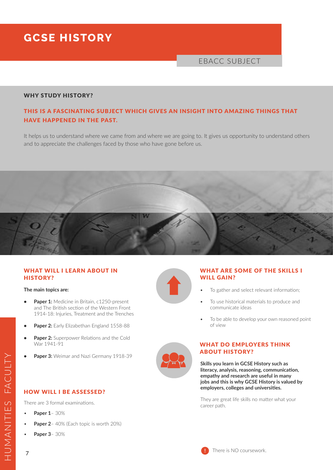# **GCSE HISTORY**

# EBACC SUBJECT

# WHY STUDY HISTORY?

# THIS IS A FASCINATING SUBJECT WHICH GIVES AN INSIGHT INTO AMAZING THINGS THAT HAVE HAPPENED IN THE PAST.

It helps us to understand where we came from and where we are going to. It gives us opportunity to understand others and to appreciate the challenges faced by those who have gone before us.



### WHAT WILL I LEARN ABOUT IN HISTORY?

#### **The main topics are:**

- **• Paper 1:** Medicine in Britain, c1250-present and The British section of the Western Front 1914-18: Injuries, Treatment and the Trenches
- **• Paper 2:** Early Elizabethan England 1558-88
- **Paper 2:** Superpower Relations and the Cold War 1941-91
- **• Paper 3:** Weimar and Nazi Germany 1918-39

# HOW WILL I BE ASSESSED?

There are 3 formal examinations.

- **Paper 1** 30%
- **Paper 2** 40% (Each topic is worth 20%)
- **Paper 3** 30%



# WHAT ARE SOME OF THE SKILLS I WILL GAIN?

- To gather and select relevant information;
- To use historical materials to produce and communicate ideas
- To be able to develop your own reasoned point of view



# WHAT DO EMPLOYERS THINK ABOUT HISTORY?

**Skills you learn in GCSE History such as literacy, analysis, reasoning, communication, empathy and research are useful in many jobs and this is why GCSE History is valued by employers, colleges and universities.** 

They are great life skills no matter what your career path.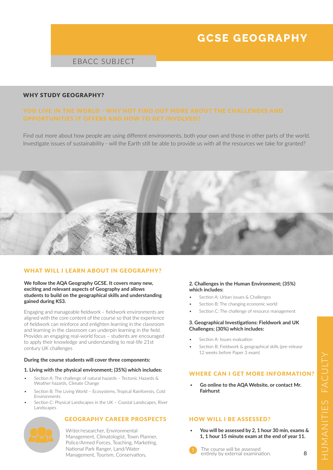# **GCSE GEOGRAPHY**

# EBACC SUBJECT

#### WHY STUDY GEOGRAPHY?

Find out more about how people are using different environments, both your own and those in other parts of the world. Investigate issues of sustainability - will the Earth still be able to provide us with all the resources we take for granted?



#### WHAT WILL I LEARN ABOUT IN GEOGRAPHY?

#### **We follow the AQA Geography GCSE. It covers many new, exciting and relevant aspects of Geography and allows students to build on the geographical skills and understanding gained during KS3.**

Engaging and manageable fieldwork – fieldwork environments are aligned with the core content of the course so that the experience of fieldwork can reinforce and enlighten learning in the classroom and learning in the classroom can underpin learning in the field. Provides an engaging real-world focus – students are encouraged to apply their knowledge and understanding to real-life 21st century UK challenges

#### **During the course students will cover three components:**

#### **1. Living with the physical environment; (35%) which includes:**

- Section A: The challenge of natural hazards Tectonic Hazards & Weather hazards, Climate Change
- Section B: The Living World Ecosystems, Tropical Rainforests, Cold Environments
- Section C: Physical Landscapes in the UK Coastal Landscapes, River Landscapes

#### GEOGRAPHY CAREER PROSPECTS



Writer/researcher, Environmental Management, Climatologist, Town Planner, Police/Armed Forces, Teaching, Marketing, National Park Ranger, Land/Water Management, Tourism, Conservation**.**

#### **2. Challenges in the Human Environment; (35%) which includes:**

- Section A: Urban issues & Challenges
- Section B: The changing economic world
- Section C: The challenge of resource management

#### **3. Geographical Investigations: Fieldwork and UK Challenges; (30%) which includes:**

- Section A: Issues evaluation
- Section B: Fieldwork & geographical skills (pre-release 12 weeks before Paper 3 exam)

#### WHERE CAN I GET MORE INFORMATION?

• **Go online to the AQA Website, or contact Mr. Fairhurst**

# HOW WILL I BE ASSESSED?

• **You will be assessed by 2, 1 hour 30 min, exams & 1, 1 hour 15 minute exam at the end of year 11.**

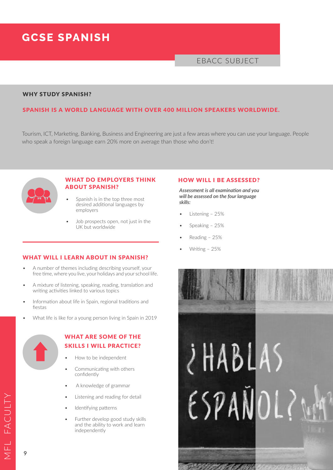# **GCSE SPANISH**

# EBACC SUBJECT

#### WHY STUDY SPANISH?

### SPANISH IS A WORLD LANGUAGE WITH OVER 400 MILLION SPEAKERS WORLDWIDE.

Tourism, ICT, Marketing, Banking, Business and Engineering are just a few areas where you can use your language. People who speak a foreign language earn 20% more on average than those who don't!



# WHAT DO EMPLOYERS THINK ABOUT SPANISH?

- Spanish is in the top three most desired additional languages by employers
- Job prospects open, not just in the UK but worldwide

#### WHAT WILL I LEARN ABOUT IN SPANISH?

- A number of themes including describing yourself, your free time, where you live, your holidays and your school life.
- A mixture of listening, speaking, reading, translation and writing activities linked to various topics
- Information about life in Spain, regional traditions and fiestas
- What life is like for a young person living in Spain in 2019



# WHAT ARE SOME OF THE SKILLS I WILL PRACTICE?

- How to be independent
- Communicating with others confidently
- A knowledge of grammar
- Listening and reading for detail
- Identifying patterns
- Further develop good study skills and the ability to work and learn independently

### HOW WILL I BE ASSESSED?

*Assessment is all examination and you will be assessed on the four language skills:*

- Listening 25%
- Speaking 25%
- Reading 25%
- Writing 25%



MFL FACULTYFACULTY

9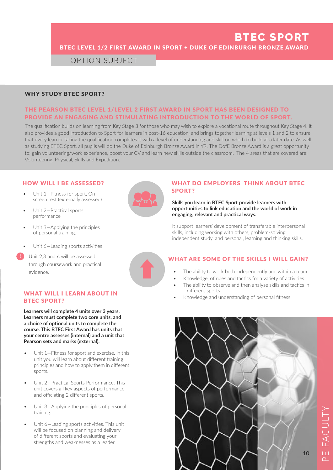# **BTEC SPORT** BTEC LEVEL 1/2 FIRST AWARD IN SPORT + DUKE OF EDINBURGH BRONZE AWARD

OPTION SUBJECT

### WHY STUDY BTEC SPORT?

# THE PEARSON BTEC LEVEL 1/LEVEL 2 FIRST AWARD IN SPORT HAS BEEN DESIGNED TO PROVIDE AN ENGAGING AND STIMULATING INTRODUCTION TO THE WORLD OF SPORT.

The qualification builds on learning from Key Stage 3 for those who may wish to explore a vocational route throughout Key Stage 4. It also provides a good introduction to Sport for learners in post-16 education, and brings together learning at levels 1 and 2 to ensure that every learner taking the qualification completes it with a level of understanding and skill on which to build at a later date. As well as studying BTEC Sport, all pupils will do the Duke of Edinburgh Bronze Award in Y9. The DofE Bronze Award is a great opportunity to; gain volunteering/work experience, boost your CV and learn new skills outside the classroom. The 4 areas that are covered are; Volunteering, Physical, Skills and Expedition.

#### HOW WILL I BE ASSESSED?

- Unit 1—Fitness for sport. Onscreen test (externally assessed)
- Unit 2—Practical sports performance
- Unit 3—Applying the principles of personal training.
- Unit 6—Leading sports activities
- Í Unit 2,3 and 6 will be assessed through coursework and practical evidence. **!**

#### WHAT WILL I LEARN ABOUT IN BTEC SPORT?

**Learners will complete 4 units over 3 years. Learners must complete two core units, and a choice of optional units to complete the course. This BTEC First Award has units that your centre assesses (internal) and a unit that Pearson sets and marks (external).**

- Unit 1—Fitness for sport and exercise. In this unit you will learn about different training principles and how to apply them in different sports
- Unit 2—Practical Sports Performance. This unit covers all key aspects of performance and officiating 2 different sports.
- Unit 3—Applying the principles of personal training.
- Unit 6–Leading sports activities. This unit will be focused on planning and delivery of different sports and evaluating your strengths and weaknesses as a leader.



## WHAT DO EMPLOYERS THINK ABOUT BTEC SPORT?

#### **Skills you learn in BTEC Sport provide learners with opportunities to link education and the world of work in engaging, relevant and practical ways.**

It support learners' development of transferable interpersonal skills, including working with others, problem-solving, independent study, and personal, learning and thinking skills.

# WHAT ARE SOME OF THE SKILLS I WILL GAIN?

- The ability to work both independently and within a team
- Knowledge, of rules and tactics for a variety of activities
- The ability to observe and then analyse skills and tactics in different sports
- Knowledge and understanding of personal fitness

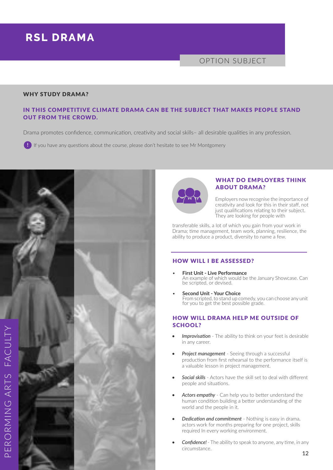# **RSL DRAMA**

# OPTION SUBJECT

#### WHY STUDY DRAMA?

# IN THIS COMPETITIVE CLIMATE DRAMA CAN BE THE SUBJECT THAT MAKES PEOPLE STAND OUT FROM THE CROWD.

Drama promotes confidence, communication, creativity and social skills– all desirable qualities in any profession.

**!** If you have any questions about the course, please don't hesitate to see Mr Montgomery





#### WHAT DO EMPLOYERS THINK ABOUT DRAMA?

Employers now recognise the importance of creativity and look for this in their staff, not just qualifications relating to their subject. They are looking for people with

transferable skills, a lot of which you gain from your work in Drama; time management, team work, planning, resilience, the ability to produce a product, diversity to name a few.

### HOW WILL I BE ASSESSED?

- **First Unit Live Performance**  An example of which would be the January Showcase. Can be scripted, or devised.
- **Second Unit Your Choice**  From scripted, to stand up comedy, you can choose any unit for you to get the best possible grade.

# HOW WILL DRAMA HELP ME OUTSIDE OF SCHOOL?

- *• Improvisation* The ability to think on your feet is desirable in any career.
- **Project management** Seeing through a successful production from first rehearsal to the performance itself is a valuable lesson in project management.
- *• Social skills* Actors have the skill set to deal with different people and situations.
- *• Actors empathy* Can help you to better understand the human condition building a better understanding of the world and the people in it.
- *• Dedication and commitment* Nothing is easy in drama, actors work for months preparing for one project, skills required In every working environment.
- *• Confidence!*  The ability to speak to anyone, any time, in any circumstance.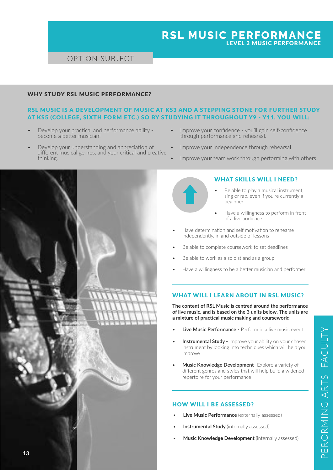# **RSL MUSIC PERFORMANCE**  LEVEL 2 MUSIC PERFORMANCE

# OPTION SUBJECT

### WHY STUDY RSL MUSIC PERFORMANCE?

# RSL MUSIC IS A DEVELOPMENT OF MUSIC AT KS3 AND A STEPPING STONE FOR FURTHER STUDY AT KS5 (COLLEGE, SIXTH FORM ETC.) SO BY STUDYING IT THROUGHOUT Y9 - Y11, YOU WILL;

- Develop your practical and performance ability become a better musician!
- Develop your understanding and appreciation of different musical genres, and your critical and creative thinking.
- Improve your confidence you'll gain self-confidence through performance and rehearsal.
- Improve your independence through rehearsal
- Improve your team work through performing with others



# WHAT SKILLS WILL I NEED?

- Be able to play a musical instrument, sing or rap, even if you're currently a beginner
- Have a willingness to perform in front of a live audience
- Have determination and self motivation to rehearse independently, in and outside of lessons
- Be able to complete coursework to set deadlines
- Be able to work as a soloist and as a group
- Have a willingness to be a better musician and performer

#### WHAT WILL I LEARN ABOUT IN RSL MUSIC?

**The content of RSL Music is centred around the performance of live music, and is based on the 3 units below. The units are a mixture of practical music making and coursework:** 

- **Live Music Performance -** Perform in a live music event
- **Instrumental Study -** Improve your ability on your chosen instrument by looking into techniques which will help you improve
- **Music Knowledge Development-** Explore a variety of different genres and styles that will help build a widened repertoire for your performance

#### HOW WILL I BE ASSESSED?

- **Live Music Performance** (externally assessed)
- **Instrumental Study** (internally assessed)
- **Music Knowledge Development** (internally assessed)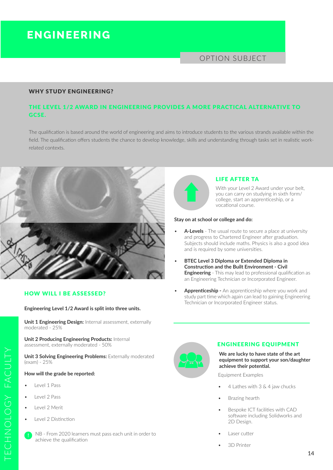# **ENGINEERING**

# OPTION SUBJECT

#### WHY STUDY ENGINEERING?

# THE LEVEL 1/2 AWARD IN ENGINEERING PROVIDES A MORE PRACTICAL ALTERNATIVE TO GCSE.

The qualification is based around the world of engineering and aims to introduce students to the various strands available within the field. The qualification offers students the chance to develop knowledge, skills and understanding through tasks set in realistic workrelated contexts.



#### HOW WILL I BE ASSESSED?

#### **Engineering Level 1/2 Award is split into three units.**

**Unit 1 Engineering Design:** Internal assessment, externally moderated - 25%

**Unit 2 Producing Engineering Products:** Internal assessment, externally moderated - 50%

**Unit 3 Solving Engineering Problems: Externally moderated** (exam) - 25%

#### **How will the grade be reported:**

- Level 1 Pass
- Level 2 Pass
- Level 2 Merit

TECHNOLOGY FACULTY

CHNOLOGY FACULTY

• Level 2 Distinction





#### LIFE AFTER TA

With your Level 2 Award under your belt. you can carry on studying in sixth form/ college, start an apprenticeship, or a vocational course.

#### **Stay on at school or college and do:**

- A-Levels The usual route to secure a place at university and progress to Chartered Engineer after graduation. Subjects should include maths. Physics is also a good idea and is required by some universities.
- **BTEC Level 3 Diploma or Extended Diploma in Construction and the Built Environment - Civil Engineering** - This may lead to professional qualification as an Engineering Technician or Incorporated Engineer.
- **Apprenticeship -** An apprenticeship where you work and study part time which again can lead to gaining Engineering Technician or Incorporated Engineer status.



#### ENGINEERING EQUIPMENT

**We are lucky to have state of the art equipment to support your son/daughter achieve their potential.** 

Equipment Examples

- 4 Lathes with 3 & 4 jaw chucks
- Brazing hearth
- Bespoke ICT facilities with CAD software including Solidworks and 2D Design.
- Laser cutter
- 3D Printer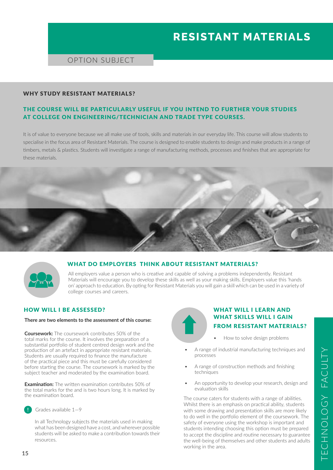# **RESISTANT MATERIALS**

# OPTION SUBJECT

#### WHY STUDY RESISTANT MATERIALS?

# THE COURSE WILL BE PARTICULARLY USEFUL IF YOU INTEND TO FURTHER YOUR STUDIES AT COLLEGE ON ENGINEERING/TECHNICIAN AND TRADE TYPE COURSES.

It is of value to everyone because we all make use of tools, skills and materials in our everyday life. This course will allow students to specialise in the focus area of Resistant Materials. The course is designed to enable students to design and make products in a range of timbers, metals & plastics. Students will investigate a range of manufacturing methods, processes and finishes that are appropriate for these materials.





#### WHAT DO EMPLOYERS THINK ABOUT RESISTANT MATERIALS?

All employers value a person who is creative and capable of solving a problems independently. Resistant Materials will encourage you to develop these skills as well as your making skills. Employers value this 'hands on' approach to education. By opting for Resistant Materials you will gain a skill which can be used in a variety of college courses and careers.

# HOW WILL I BE ASSESSED?

#### **There are two elements to the assessment of this course:**

**Coursework:** The coursework contributes 50% of the total marks for the course. It involves the preparation of a substantial portfolio of student centred design work and the production of an artefact in appropriate resistant materials. Students are usually required to finance the manufacture of the practical piece and this must be carefully considered before starting the course. The coursework is marked by the subject teacher and moderated by the examination board.

**Examination:** The written examination contributes 50% of the total marks for the and is two hours long. It is marked by the examination board.



**!** Grades available 1—9

In all Technology subjects the materials used in making what has been designed have a cost, and wherever possible students will be asked to make a contribution towards their resources.

# WHAT WILL LIFARN AND WHAT SKILLS WILL I GAIN FROM RESISTANT MATERIALS?

- How to solve design problems
- A range of industrial manufacturing techniques and processes
- A range of construction methods and finishing techniques
- An opportunity to develop your research, design and evaluation skills

The course caters for students with a range of abilities. Whilst there is an emphasis on practical ability, students with some drawing and presentation skills are more likely to do well in the portfolio element of the coursework. The safety of everyone using the workshop is important and students intending choosing this option must be prepared to accept the discipline and routine necessary to guarantee the well-being of themselves and other students and adults working in the area.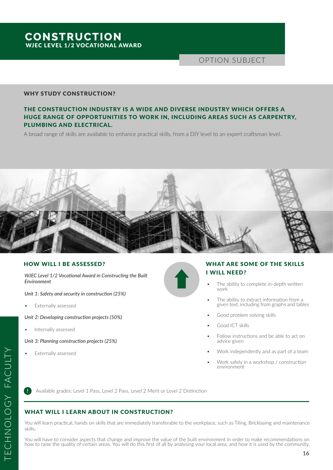# **CONSTRUCTION** WJEC LEVEL 1/2 VOCATIONAL AWARD

OPTION SUBJECT

#### WHY STUDY CONSTRUCTION?

# THE CONSTRUCTION INDUSTRY IS A WIDE AND DIVERSE INDUSTRY WHICH OFFERS A HUGE RANGE OF OPPORTUNITIES TO WORK IN, INCLUDING AREAS SUCH AS CARPENTRY, PLUMBING AND ELECTRICAL.

A broad range of skills are available to enhance practical skills, from a DIY level to an expert craftsman level.



#### HOW WILL I BE ASSESSED?

*WJEC Level 1/2 Vocational Award in Constructing the Built Environment*

*Unit 1: Safety and security in construction (25%)*

Externally assessed

*Unit 2: Developing construction projects (50%)*

Internally assessed

*Unit 3: Planning construction projects (25%)*

Externally assessed



- The ability to complete in-depth written work
- The ability to extract information from a given text, including from graphs and tables
- Good problem solving skills
- Good ICT skills
- Follow instructions and be able to act on advice given
- Work independently and as part of a team
- Work safely in a workshop / construction environment

**!** Available grades: Level 1 Pass, Level 2 Pass, Level 2 Merit or Level 2 Distinction

#### WHAT WILL I LEARN ABOUT IN CONSTRUCTION?

You will learn practical, hands on skills that are immediately transferable to the workplace, such as Tiling, Bricklaying and maintenance skills.

You will have to consider aspects that change and improve the value of the built environment in order to make recommendations on how to raise the quality of certain areas. You will do this first of all by analysing your local area, and how it is used by the community.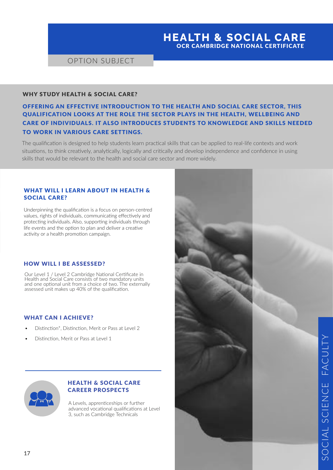# **HEALTH & SOCIAL CARE**  OCR CAMBRIDGE NATIONAL CERTIFICATE

# OPTION SUBJECT

#### WHY STUDY HEALTH & SOCIAL CARE?

OFFERING AN EFFECTIVE INTRODUCTION TO THE HEALTH AND SOCIAL CARE SECTOR, THIS QUALIFICATION LOOKS AT THE ROLE THE SECTOR PLAYS IN THE HEALTH, WELLBEING AND CARE OF INDIVIDUALS. IT ALSO INTRODUCES STUDENTS TO KNOWLEDGE AND SKILLS NEEDED TO WORK IN VARIOUS CARE SETTINGS.

The qualification is designed to help students learn practical skills that can be applied to real-life contexts and work situations, to think creatively, analytically, logically and critically and develop independence and confidence in using skills that would be relevant to the health and social care sector and more widely.

### WHAT WILL I LEARN ABOUT IN HEALTH & SOCIAL CARE?

Underpinning the qualification is a focus on person-centred values, rights of individuals, communicating effectively and protecting individuals. Also, supporting individuals through life events and the option to plan and deliver a creative activity or a health promotion campaign.

#### HOW WILL I BE ASSESSED?

Our Level 1 / Level 2 Cambridge National Certificate in Health and Social Care consists of two mandatory units and one optional unit from a choice of two. The externally assessed unit makes up 40% of the qualification.

#### WHAT CAN I ACHIEVE?

- Distinction\*, Distinction, Merit or Pass at Level 2
- Distinction, Merit or Pass at Level 1



# HEALTH & SOCIAL CARE CAREER PROSPECTS

A Levels, apprenticeships or further advanced vocational qualifications at Level 3, such as Cambridge Technicals

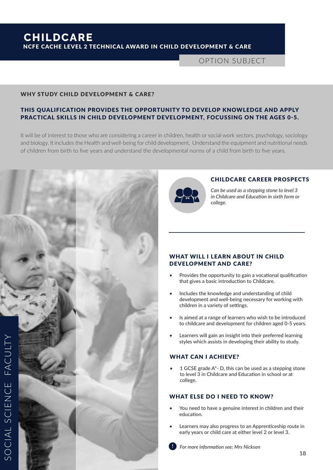OPTION SUBJECT

#### WHY STUDY CHILD DEVELOPMENT & CARE?

# THIS QUALIFICATION PROVIDES THE OPPORTUNITY TO DEVELOP KNOWLEDGE AND APPLY PRACTICAL SKILLS IN CHILD DEVELOPMENT DEVELOPMENT, FOCUSSING ON THE AGES 0-5.

It will be of interest to those who are considering a career in children, health or social work sectors, psychology, sociology and biology. It includes the Health and well-being for child development, Understand the equipment and nutritional needs of children from birth to five years and understand the developmental norms of a child from birth to five years.





#### CHILDCARE CAREER PROSPECTS

*Can be used as a stepping stone to level 3 in Childcare and Education in sixth form or college.*

### WHAT WILL I LEARN ABOUT IN CHILD DEVELOPMENT AND CARE?

- Provides the opportunity to gain a vocational qualification that gives a basic introduction to Childcare.
- Includes the knowledge and understanding of child development and well-being necessary for working with children in a variety of settings.
- Is aimed at a range of learners who wish to be introduced to childcare and development for children aged 0-5 years.
- Learners will gain an insight into their preferred learning styles which assists in developing their ability to study.

# WHAT CAN I ACHIEVE?

1 GCSE grade  $A^*$ - D, this can be used as a stepping stone to level 3 in Childcare and Education in school or at college.

### WHAT ELSE DO I NEED TO KNOW?

- You need to have a genuine interest in children and their education.
- Learners may also progress to an Apprenticeship route in early years or child care at either level 2 or level 3.
- $\bullet$  *Por more information see: Mrs Nickson*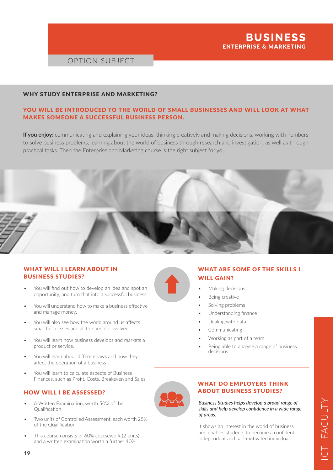

# OPTION SUBJECT

#### WHY STUDY ENTERPRISE AND MARKETING?

# YOU WILL BE INTRODUCED TO THE WORLD OF SMALL BUSINESSES AND WILL LOOK AT WHAT MAKES SOMEONE A SUCCESSFUL BUSINESS PERSON.

**If you enjoy:** communicating and explaining your ideas, thinking creatively and making decisions, working with numbers to solve business problems, learning about the world of business through research and investigation, as well as through practical tasks. Then the Enterprise and Marketing course is the right subject for you!



### WHAT WILL I LEARN ABOUT IN BUSINESS STUDIES?

- You will find out how to develop an idea and spot an opportunity, and turn that into a successful business.
- You will understand how to make a business effective and manage money.
- You will also see how the world around us affects small businesses and all the people involved.
- You will learn how business develops and markets a product or service.
- You will learn about different laws and how they affect the operation of a business
- You will learn to calculate aspects of Business Finances, such as Profit, Costs, Breakeven and Sales

#### HOW WILL I BE ASSESSED?

- A Written Examination, worth 50% of the Qualification
- Two units of Controlled Assessment, each worth 25% of the Qualification
- This course consists of 60% coursework (2 units) and a written examination worth a further 40%.



- WHAT ARE SOME OF THE SKILLS I WILL GAIN?
- Making decisions
- Being creative
- Solving problems
- Understanding finance
- Dealing with data
- **Communicating**
- Working as part of a team
- Being able to analyse a range of business decisions

### WHAT DO EMPLOYERS THINK ABOUT BUSINESS STUDIES?

*Business Studies helps develop a broad range of skills and help develop confidence in a wide range of areas.* 

It shows an interest in the world of business and enables students to become a confident, independent and self-motivated individual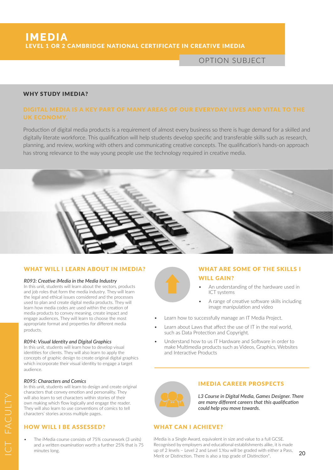OPTION SUBJECT

#### WHY STUDY IMEDIA?

Production of digital media products is a requirement of almost every business so there is huge demand for a skilled and digitally literate workforce. This qualification will help students develop specific and transferable skills such as research, planning, and review, working with others and communicating creative concepts. The qualification's hands-on approach has strong relevance to the way young people use the technology required in creative media.



#### WHAT WILL I LEARN ABOUT IN IMEDIA?

#### *R093: Creative iMedia in the Media Industry*

In this unit, students will learn about the sectors, products and job roles that form the media industry. They will learn the legal and ethical issues considered and the processes used to plan and create digital media products. They will learn how media codes are used within the creation of media products to convey meaning, create impact and engage audiences. They will learn to choose the most appropriate format and properties for different media products.

#### *R094: Visual Identity and Digital Graphics*

In this unit, students will learn how to develop visual identities for clients. They will also learn to apply the concepts of graphic design to create original digital graphics which incorporate their visual identity to engage a target audience.

#### *R095: Characters and Comics*

In this unit, students will learn to design and create original characters that convey emotion and personality. They will also learn to set characters within stories of their own making which flow logically and engage the reader. They will also learn to use conventions of comics to tell characters' stories across multiple pages.

### HOW WILL I BE ASSESSED?

The iMedia course consists of 75% coursework (3 units) and a written examination worth a further 25% that is 75 minutes long.

# WHAT ARE SOME OF THE SKILLS I WILL GAIN?

- An understanding of the hardware used in ICT systems
- A range of creative software skills including image manipulation and video
- Learn how to successfully manage an IT Media Project.
- Learn about Laws that affect the use of IT in the real world, such as Data Protection and Copyright.
- Understand how to us IT Hardware and Software in order to make Multimedia products such as Videos, Graphics, Websites and Interactive Products



#### IMEDIA CAREER PROSPECTS

*L3 Course in Digital Media, Games Designer. There are many different careers that this qualification could help you move towards.*

### WHAT CAN I ACHIEVE?

iMedia is a Single Award, equivalent in size and value to a full GCSE. Recognised by employers and educational establishments alike, it is made up of 2 levels – Level 2 and Level 1.You will be graded with either a Pass, Merit or Distinction. There is also a top grade of Distinction\*.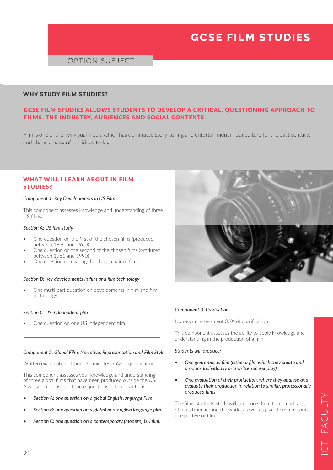# **GCSE FILM STUDIES**

# OPTION SUBJECT

#### WHY STUDY FILM STUDIES?

# GCSE FILM STUDIES ALLOWS STUDENTS TO DEVELOP A CRITICAL, QUESTIONING APPROACH TO FILMS, THE INDUSTRY, AUDIENCES AND SOCIAL CONTEXTS.

Film is one of the key visual media which has dominated story-telling and entertainment in our culture for the past century, and shapes many of our ideas today.

#### WHAT WILL I LEARN ABOUT IN FILM STUDIES?

#### *Component 1: Key Developments in US Film*

This component assesses knowledge and understanding of three US films.

#### *Section A: US film study*

- One question on the first of the chosen films (produced between 1930 and 1960)
- One question on the second of the chosen films (produced between 1961 and 1990)
- One question comparing the chosen pair of films

#### *Section B: Key developments in film and film technology*

• One multi-part question on developments in film and film technology

#### *Section C: US independent film*

One question on one US independent film.

#### *Component 2: Global Film: Narrative, Representation and Film Style*

Written examination: 1 hour 30 minutes 35% of qualification

This component assesses your knowledge and understanding of three global films that have been produced outside the US. Assessment consists of three questions in three sections:

- *• Section A: one question on a global English language Film.*
- *• Section B: one question on a global non-English language film.*
- *• Section C: one question on a contemporary (modern) UK film.*



#### *Component 3: Production*

Non-exam assessment 30% of qualification

This component assesses the ability to apply knowledge and understanding in the production of a film.

#### *Students will produce:*

- *• One genre-based film (either a film which they create and produce individually or a written screenplay)*
- *• One evaluation of their production, where they analyse and evaluate their production in relation to similar, professionally produced films.*

The films students study will introduce them to a broad range of films from around the world, as well as give them a historical perspective of film.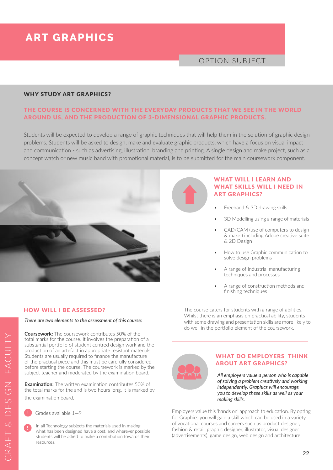# **ART GRAPHICS**

# OPTION SUBJECT

#### WHY STUDY ART GRAPHICS?

# THE COURSE IS CONCERNED WITH THE EVERYDAY PRODUCTS THAT WE SEE IN THE WORLD AROUND US, AND THE PRODUCTION OF 3-DIMENSIONAL GRAPHIC PRODUCTS.

Students will be expected to develop a range of graphic techniques that will help them in the solution of graphic design problems. Students will be asked to design, make and evaluate graphic products, which have a focus on visual impact and communication - such as advertising, illustration, branding and printing. A single design and make project, such as a concept watch or new music band with promotional material, is to be submitted for the main coursework component.



# WHAT WILL I LEARN AND WHAT SKILLS WILL I NEED IN ART GRAPHICS?

- Freehand & 3D drawing skills
- 3D Modelling using a range of materials
- CAD/CAM (use of computers to design & make ) including Adobe creative suite & 2D Design
- How to use Graphic communication to solve design problems
- A range of industrial manufacturing techniques and processes
- A range of construction methods and finishing techniques

#### The course caters for students with a range of abilities. Whilst there is an emphasis on practical ability, students with some drawing and presentation skills are more likely to do well in the portfolio element of the coursework.



#### WHAT DO EMPLOYERS THINK ABOUT ART GRAPHICS?

*All employers value a person who is capable of solving a problem creatively and working independently. Graphics will encourage you to develop these skills as well as your making skills.*

Employers value this 'hands on' approach to education. By opting for Graphics you will gain a skill which can be used in a variety of vocational courses and careers such as product designer, fashion & retail, graphic designer, illustrator, visual designer (advertisements), game design, web design and architecture.

#### HOW WILL I BE ASSESSED?

#### *There are two elements to the assessment of this course:*

**Coursework:** The coursework contributes 50% of the total marks for the course. It involves the preparation of a substantial portfolio of student centred design work and the production of an artefact in appropriate resistant materials. Students are usually required to finance the manufacture of the practical piece and this must be carefully considered before starting the course. The coursework is marked by the subject teacher and moderated by the examination board.

**Examination:** The written examination contributes 50% of the total marks for the and is two hours long. It is marked by the examination board.

**!** Grades available 1—9

**!** In all Technology subjects the materials used in making what has been designed have a cost, and wherever possible students will be asked to make a contribution towards their resources.

CRAFT & DESIGN FACULTYFACULTY CRAFT & DESIGN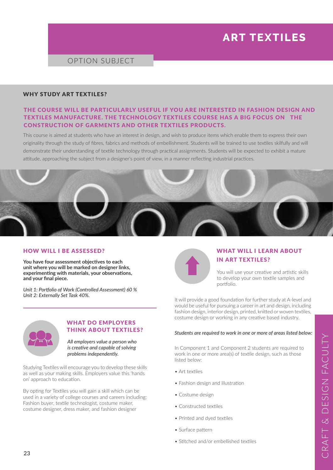# **ART TEXTILES**

# OPTION SUBJECT

#### WHY STUDY ART TEXTILES?

# THE COURSE WILL BE PARTICULARLY USEFUL IF YOU ARE INTERESTED IN FASHION DESIGN AND TEXTILES MANUFACTURE. THE TECHNOLOGY TEXTILES COURSE HAS A BIG FOCUS ON THE CONSTRUCTION OF GARMENTS AND OTHER TEXTILES PRODUCTS.

This course is aimed at students who have an interest in design, and wish to produce items which enable them to express their own originality through the study of fibres, fabrics and methods of embellishment. Students will be trained to use textiles skilfully and will demonstrate their understanding of textile technology through practical assignments. Students will be expected to exhibit a mature attitude, approaching the subject from a designer's point of view, in a manner reflecting industrial practices.



#### HOW WILL I BE ASSESSED?

**You have four assessment objectives to each unit where you will be marked on designer links, experimenting with materials, your observations, and your final piece.** 

*Unit 1: Portfolio of Work (Controlled Assessment) 60 % Unit 2: Externally Set Task 40%.*



# WHAT WILL I LEARN ABOUT IN ART TEXTILES?

You will use your creative and artistic skills to develop your own textile samples and portfolio.

It will provide a good foundation for further study at A-level and would be useful for pursuing a career in art and design, including fashion design, interior design, printed, knitted or woven textiles, costume design or working in any creative based industry.

#### *Students are required to work in one or more of areas listed below:*

In Component 1 and Component 2 students are required to work in one or more area(s) of textile design, such as those listed below:

- Art textiles
- Fashion design and illustration
- Costume design
- Constructed textiles
- Printed and dyed textiles
- Surface pattern
- Stitched and/or embellished textiles



#### WHAT DO EMPLOYERS THINK ABOUT TEXTILES?

*All employers value a person who is creative and capable of solving problems independently.*

Studying Textiles will encourage you to develop these skills as well as your making skills. Employers value this 'hands on' approach to education.

By opting for Textiles you will gain a skill which can be used in a variety of college courses and careers including; Fashion buyer, textile technologist, costume maker, costume designer, dress maker, and fashion designer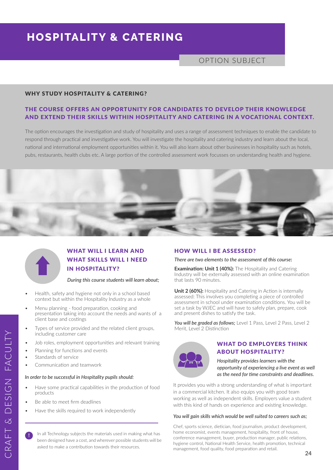# **HOSPITALITY & CATERING**

OPTION SUBJECT

#### WHY STUDY HOSPITALITY & CATERING?

# THE COURSE OFFERS AN OPPORTUNITY FOR CANDIDATES TO DEVELOP THEIR KNOWLEDGE AND EXTEND THEIR SKILLS WITHIN HOSPITALITY AND CATERING IN A VOCATIONAL CONTEXT.

The option encourages the investigation and study of hospitality and uses a range of assessment techniques to enable the candidate to respond through practical and investigative work. You will investigate the hospitality and catering industry and learn about the local, national and international employment opportunities within it. You will also learn about other businesses in hospitality such as hotels, pubs, restaurants, health clubs etc. A large portion of the controlled assessment work focusses on understanding health and hygiene.





# WHAT WILL I LEARN AND WHAT SKILLS WILL I NEED IN HOSPITALITY?

#### *During this course students will learn about;*

- Health, safety and hygiene not only in a school based context but within the Hospitality Industry as a whole
- Menu planning food preparation, cooking and presentation taking into account the needs and wants of a client base and costings
- Types of service provided and the related client groups, including customer care
- Job roles, employment opportunities and relevant training
- Planning for functions and events
- Standards of service
- Communication and teamwork

#### *In order to be successful in Hospitality pupils should:*

- Have some practical capabilities in the production of food products
- Be able to meet firm deadlines
- Have the skills required to work independently

**!** In all Technology subjects the materials used in making what has been designed have a cost, and wherever possible students will be asked to make a contribution towards their resources.

#### HOW WILL I BE ASSESSED?

*There are two elements to the assessment of this course***:**

**Examination: Unit 1 (40%):** The Hospitality and Catering Industry will be externally assessed with an online examination that lasts 90 minutes.

**Unit 2 (60%):** Hospitality and Catering in Action is internally assessed: This involves you completing a piece of controlled assessment in school under examination conditions. You will be set a task by WJEC and will have to safely plan, prepare, cook and present dishes to satisfy the task.

**You will be graded as follows:** Level 1 Pass, Level 2 Pass, Level 2 Merit, Level 2 Distinction



### WHAT DO EMPLOYERS THINK ABOUT HOSPITALITY?

*Hospitality provides learners with the opportunity of experiencing a live event as well as the need for time constraints and deadlines.* 

It provides you with a strong understanding of what is important in a commercial kitchen. It also equips you with good team working as well as independent skills. Employers value a student with this kind of hands on experience and existing knowledge.

#### *You will gain skills which would be well suited to careers such as;*

Chef, sports science, dietician, food journalism, product development, home economist, events management, hospitality, front of house, conference management, buyer, production manager, public relations, hygiene control, National Health Service, health promotion, technical management, food quality, food preparation and retail.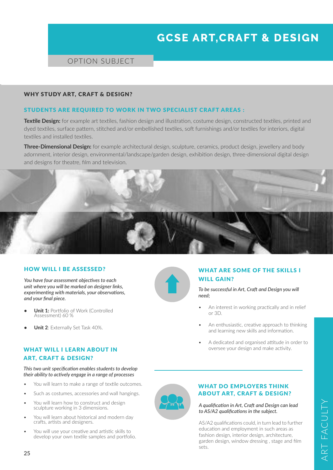# **GCSE ART,CRAFT & DESIGN**

# OPTION SUBJECT

#### WHY STUDY ART, CRAFT & DESIGN?

#### STUDENTS ARE REQUIRED TO WORK IN TWO SPECIALIST CRAFT AREAS :

**Textile Design:** for example art textiles, fashion design and illustration, costume design, constructed textiles, printed and dyed textiles, surface pattern, stitched and/or embellished textiles, soft furnishings and/or textiles for interiors, digital textiles and installed textiles.

**Three-Dimensional Design:** for example architectural design, sculpture, ceramics, product design, jewellery and body adornment, interior design, environmental/landscape/garden design, exhibition design, three-dimensional digital design and designs for theatre, film and television.



#### HOW WILL I BE ASSESSED?

*You have four assessment objectives to each unit where you will be marked on designer links, experimenting with materials, your observations, and your final piece.*

- **Unit 1:** Portfolio of Work (Controlled Assessment) 60 %
- **• Unit 2**: Externally Set Task 40%.

### WHAT WILL I LEARN ABOUT IN ART, CRAFT & DESIGN?

#### *This two unit specification enables students to develop their ability to actively engage in a range of processes*

- You will learn to make a range of textile outcomes.
- Such as costumes, accessories and wall hangings.
- You will learn how to construct and design sculpture working in 3 dimensions.
- You will learn about historical and modern day crafts, artists and designers.
- You will use your creative and artistic skills to develop your own textile samples and portfolio.



# WHAT ARE SOME OF THE SKILLS I WILL GAIN?

*To be successful in Art, Craft and Design you will need;*

- An interest in working practically and in relief or 3D.
- An enthusiastic, creative approach to thinking and learning new skills and information.
- A dedicated and organised attitude in order to oversee your design and make activity.

# WHAT DO EMPLOYERS THINK ABOUT ART, CRAFT & DESIGN?

#### *A qualification in Art, Craft and Design can lead to AS/A2 qualifications in the subject.*

AS/A2 qualifications could, in turn lead to further education and employment in such areas as fashion design, interior design, architecture, garden design, window dressing , stage and film sets.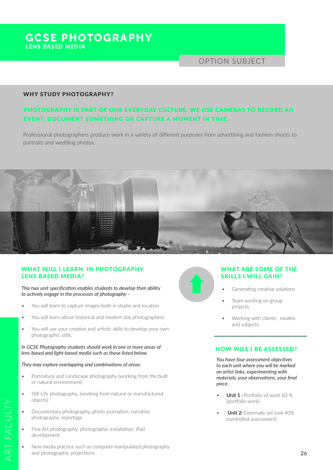# **GCSE PHOTOGRAPHY** LENS BASED MEDIA

# OPTION SUBJECT

#### WHY STUDY PHOTOGRAPHY?

# PHOTOGRAPHY IS PART OF OUR EVERYDAY CULTURE. WE USE CAMERAS TO RECORD AN EVENT, DOCUMENT SOMETHING OR CAPTURE A MOMENT IN TIME.

Professional photographers produce work in a variety of different purposes from advertising and fashion shoots to portraits and wedding photos.



# WHAT WILL I LEARN IN PHOTOGRAPHY LENS BASED MEDIA?

*This two unit specification enables students to develop their ability to actively engage in the processes of photography –*

- You will learn to capture images both in studio and location
- You will learn about historical and modern day photographers
- You will use your creative and artistic skills to develop your own photographic stills.

#### *In GCSE Photography students should work in one or more areas of lens-based and light-based media such as those listed below.*

#### *They may explore overlapping and combinations of areas:*

- Portraiture and Landscape photography (working from the built or natural environment)
- Still Life photography, (working from natural or manufactured objects)
- Documentary photography, photo journalism, narrative photography, reportage
- Fine Art photography, photographic installation, iPad development
- New media practice such as computer manipulated photography and photographic projections

# WHAT ARE SOME OF THE SKILLS I WILL GAIN?

- Generating creative solutions
- Team working on group projects
- Working with clients , models and subjects

#### HOW WILL I BE ASSESSED?

*You have four assessment objectives to each unit where you will be marked on artist links, experimenting with materials, your observations, your final piece.*

- **Unit 1 :** Portfolio of work 60 % (portfolio work)
- **Unit 2:** Externally set task 40% (controlled assessment)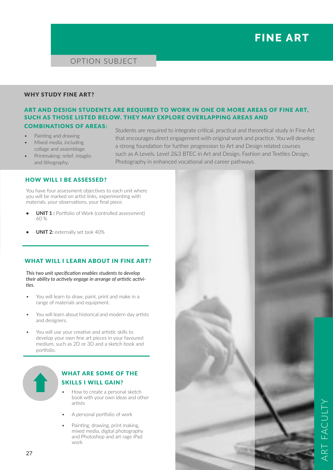# **FINE ART**

OPTION SUBJECT

#### WHY STUDY FINE ART?

# ART AND DESIGN STUDENTS ARE REQUIRED TO WORK IN ONE OR MORE AREAS OF FINE ART, SUCH AS THOSE LISTED BELOW. THEY MAY EXPLORE OVERLAPPING AREAS AND

# COMBINATIONS OF AREAS:

- Painting and drawing
- Mixed media, including collage and assemblage
- Printmaking: relief, intaglio and lithography.

Students are required to integrate critical, practical and theoretical study in Fine Art that encourages direct engagement with original work and practice. You will develop a strong foundation for further progression to Art and Design related courses such as A Levels, Level 2&3 BTEC in Art and Design, Fashion and Textiles Design, Photography in enhanced vocational and career pathways.

# HOW WILL I BE ASSESSED?

You have four assessment objectives to each unit where you will be marked on artist links, experimenting with materials, your observations, your final piece.

- **UNIT 1:** Portfolio of Work (controlled assessment)  $60%$
- **UNIT 2: externally set task 40%**

# WHAT WILL I LEARN ABOUT IN FINE ART?

*This two unit specification enables students to develop their ability to actively engage in arrange of artistic activities.*

- You will learn to draw, paint, print and make in a range of materials and equipment.
- You will learn about historical and modern day artists and designers.
- You will use your creative and artistic skills to develop your own fine art pieces in your favoured medium, such as 2D or 3D and a sketch book and portfolio.



# WHAT ARE SOME OF THE SKILLS I WILL GAIN?

- How to create a personal sketch book with your own ideas and other artists
- A personal portfolio of work
- Painting, drawing, print making, mixed media, digital photography and Photoshop and art rage iPad work

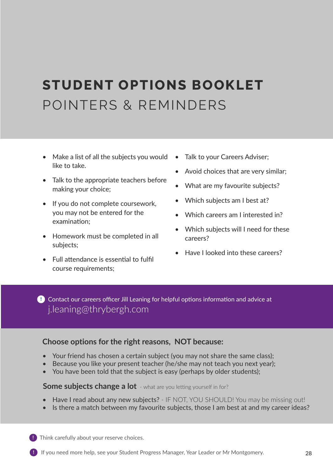# **STUDENT OPTIONS BOOKLET** POINTERS & REMINDERS

- Make a list of all the subiects you would like to take.
- Talk to the appropriate teachers before making your choice;
- If you do not complete coursework, you may not be entered for the examination;
- Homework must be completed in all subjects;
- Full attendance is essential to fulfil course requirements;
- Talk to your Careers Adviser:
- Avoid choices that are very similar;
- What are my favourite subjects?
- Which subjects am I best at?
- Which careers am I interested in?
- Which subjects will I need for these careers?
- Have I looked into these careers?

Contact our careers officer Jill Leaning for helpful options information and advice at **!** j.leaning@thrybergh.com

# **Choose options for the right reasons, NOT because:**

- Your friend has chosen a certain subject (you may not share the same class);
- Because you like your present teacher (he/she may not teach you next year);
- You have been told that the subject is easy (perhaps by older students);

# **Some subjects change a lot** - what are you letting yourself in for?

- Have I read about any new subjects? IF NOT, YOU SHOULD! You may be missing out!
- Is there a match between my favourite subjects, those I am best at and my career ideas?

**!** Think carefully about your reserve choices.